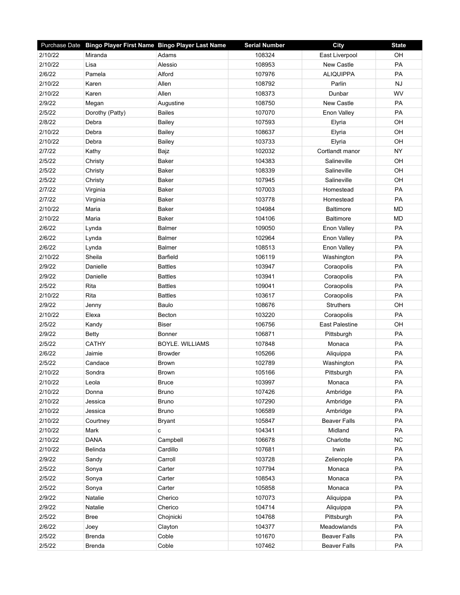|         | Purchase Date Bingo Player First Name Bingo Player Last Name |                        | <b>Serial Number</b> | <b>City</b>           | <b>State</b> |
|---------|--------------------------------------------------------------|------------------------|----------------------|-----------------------|--------------|
| 2/10/22 | Miranda                                                      | Adams                  | 108324               | East Liverpool        | OH           |
| 2/10/22 | Lisa                                                         | Alessio                | 108953               | <b>New Castle</b>     | PA           |
| 2/6/22  | Pamela                                                       | Alford                 | 107976               | <b>ALIQUIPPA</b>      | PA           |
| 2/10/22 | Karen                                                        | Allen                  | 108792               | Parlin                | <b>NJ</b>    |
| 2/10/22 | Karen                                                        | Allen                  | 108373               | Dunbar                | WV           |
| 2/9/22  | Megan                                                        | Augustine              | 108750               | <b>New Castle</b>     | PA           |
| 2/5/22  | Dorothy (Patty)                                              | <b>Bailes</b>          | 107070               | Enon Valley           | PA           |
| 2/8/22  | Debra                                                        | <b>Bailey</b>          | 107593               | Elyria                | OH           |
| 2/10/22 | Debra                                                        | <b>Bailey</b>          | 108637               | Elyria                | OH           |
| 2/10/22 | Debra                                                        | <b>Bailey</b>          | 103733               | Elyria                | OH           |
| 2/7/22  | Kathy                                                        | Bajz                   | 102032               | Cortlandt manor       | <b>NY</b>    |
| 2/5/22  | Christy                                                      | Baker                  | 104383               | Salineville           | OH           |
| 2/5/22  | Christy                                                      | Baker                  | 108339               | Salineville           | OH           |
| 2/5/22  | Christy                                                      | Baker                  | 107945               | Salineville           | OH           |
| 2/7/22  | Virginia                                                     | Baker                  | 107003               | Homestead             | PA           |
| 2/7/22  | Virginia                                                     | Baker                  | 103778               | Homestead             | PA           |
| 2/10/22 | Maria                                                        | Baker                  | 104984               | <b>Baltimore</b>      | <b>MD</b>    |
| 2/10/22 | Maria                                                        | Baker                  | 104106               | <b>Baltimore</b>      | <b>MD</b>    |
| 2/6/22  | Lynda                                                        | <b>Balmer</b>          | 109050               | Enon Valley           | <b>PA</b>    |
| 2/6/22  | Lynda                                                        | <b>Balmer</b>          | 102964               | Enon Valley           | PA           |
| 2/6/22  | Lynda                                                        | <b>Balmer</b>          | 108513               | Enon Valley           | PA           |
| 2/10/22 | Sheila                                                       | <b>Barfield</b>        | 106119               | Washington            | PA           |
| 2/9/22  | Danielle                                                     | <b>Battles</b>         | 103947               | Coraopolis            | PA           |
| 2/9/22  | Danielle                                                     | <b>Battles</b>         | 103941               | Coraopolis            | PA           |
| 2/5/22  | Rita                                                         | <b>Battles</b>         | 109041               | Coraopolis            | PA           |
| 2/10/22 | Rita                                                         | <b>Battles</b>         | 103617               | Coraopolis            | PA           |
| 2/9/22  | Jenny                                                        | Baulo                  | 108676               | Struthers             | OH           |
| 2/10/22 | Elexa                                                        | Becton                 | 103220               | Coraopolis            | PA           |
| 2/5/22  | Kandy                                                        | <b>Biser</b>           | 106756               | <b>East Palestine</b> | OH           |
| 2/9/22  | <b>Betty</b>                                                 | Bonner                 | 106871               | Pittsburgh            | <b>PA</b>    |
| 2/5/22  | <b>CATHY</b>                                                 | <b>BOYLE. WILLIAMS</b> | 107848               | Monaca                | PA           |
| 2/6/22  | Jaimie                                                       | <b>Browder</b>         | 105266               | Aliquippa             | PA           |
| 2/5/22  | Candace                                                      | <b>Brown</b>           | 102789               | Washington            | PA           |
| 2/10/22 | Sondra                                                       | <b>Brown</b>           | 105166               | Pittsburgh            | PA           |
| 2/10/22 | Leola                                                        | <b>Bruce</b>           | 103997               | Monaca                | PA           |
| 2/10/22 | Donna                                                        | <b>Bruno</b>           | 107426               | Ambridge              | PA           |
| 2/10/22 | Jessica                                                      | <b>Bruno</b>           | 107290               | Ambridge              | PA           |
| 2/10/22 | Jessica                                                      | <b>Bruno</b>           | 106589               | Ambridge              | PA           |
| 2/10/22 | Courtney                                                     | <b>Bryant</b>          | 105847               | <b>Beaver Falls</b>   | PA           |
| 2/10/22 | Mark                                                         | c                      | 104341               | Midland               | PA           |
| 2/10/22 | <b>DANA</b>                                                  | Campbell               | 106678               | Charlotte             | <b>NC</b>    |
| 2/10/22 | Belinda                                                      | Cardillo               | 107681               | Irwin                 | PA           |
| 2/9/22  | Sandy                                                        | Carroll                | 103728               | Zelienople            | PA           |
| 2/5/22  | Sonya                                                        | Carter                 | 107794               | Monaca                | PA           |
| 2/5/22  | Sonya                                                        | Carter                 | 108543               | Monaca                | PA           |
| 2/5/22  | Sonya                                                        | Carter                 | 105858               | Monaca                | PA           |
| 2/9/22  | Natalie                                                      | Cherico                | 107073               | Aliquippa             | PA           |
| 2/9/22  | Natalie                                                      | Cherico                | 104714               | Aliquippa             | PA           |
| 2/5/22  | <b>Bree</b>                                                  | Chojnicki              | 104768               | Pittsburgh            | PA           |
| 2/6/22  | Joey                                                         | Clayton                | 104377               | Meadowlands           | PA           |
| 2/5/22  | <b>Brenda</b>                                                | Coble                  | 101670               | <b>Beaver Falls</b>   | PA           |
| 2/5/22  | <b>Brenda</b>                                                | Coble                  | 107462               | <b>Beaver Falls</b>   | PA           |
|         |                                                              |                        |                      |                       |              |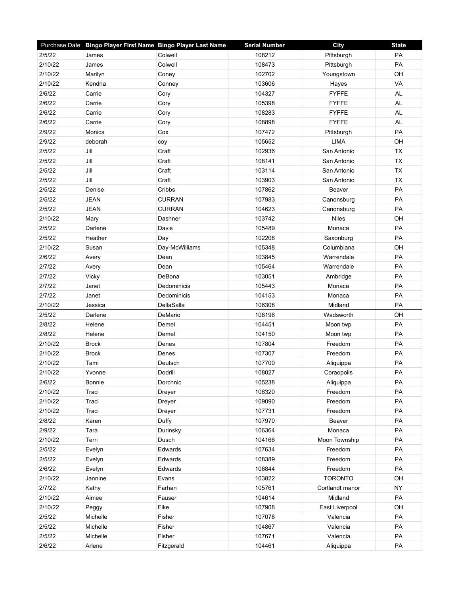|         | Purchase Date Bingo Player First Name Bingo Player Last Name |                | <b>Serial Number</b> | City            | <b>State</b> |
|---------|--------------------------------------------------------------|----------------|----------------------|-----------------|--------------|
| 2/5/22  | James                                                        | Colwell        | 108212               | Pittsburgh      | PA           |
| 2/10/22 | James                                                        | Colwell        | 108473               | Pittsburgh      | PA           |
| 2/10/22 | Marilyn                                                      | Coney          | 102702               | Youngstown      | OH           |
| 2/10/22 | Kendria                                                      | Conney         | 103606               | Hayes           | VA           |
| 2/6/22  | Carrie                                                       | Cory           | 104327               | <b>FYFFE</b>    | <b>AL</b>    |
| 2/6/22  | Carrie                                                       | Cory           | 105398               | <b>FYFFE</b>    | AL           |
| 2/6/22  | Carrie                                                       | Cory           | 108283               | <b>FYFFE</b>    | AL           |
| 2/6/22  | Carrie                                                       | Cory           | 108898               | <b>FYFFE</b>    | <b>AL</b>    |
| 2/9/22  | Monica                                                       | Cox            | 107472               | Pittsburgh      | PA           |
| 2/9/22  | deborah                                                      | coy            | 105652               | <b>LIMA</b>     | OH           |
| 2/5/22  | Jill                                                         | Craft          | 102936               | San Antonio     | <b>TX</b>    |
| 2/5/22  | Jill                                                         | Craft          | 108141               | San Antonio     | <b>TX</b>    |
| 2/5/22  | Jill                                                         | Craft          | 103114               | San Antonio     | <b>TX</b>    |
| 2/5/22  | Jill                                                         | Craft          | 103903               | San Antonio     | <b>TX</b>    |
| 2/5/22  | Denise                                                       | Cribbs         | 107862               | Beaver          | PA           |
| 2/5/22  | <b>JEAN</b>                                                  | <b>CURRAN</b>  | 107983               | Canonsburg      | PA           |
| 2/5/22  | <b>JEAN</b>                                                  | <b>CURRAN</b>  | 104623               | Canonsburg      | PA           |
| 2/10/22 | Mary                                                         | Dashner        | 103742               | <b>Niles</b>    | OH           |
| 2/5/22  | Darlene                                                      | Davis          | 105489               | Monaca          | <b>PA</b>    |
| 2/5/22  | Heather                                                      | Day            | 102208               | Saxonburg       | PA           |
| 2/10/22 | Susan                                                        | Day-McWilliams | 105348               | Columbiana      | OH           |
| 2/6/22  | Avery                                                        | Dean           | 103845               | Warrendale      | PA           |
| 2/7/22  | Avery                                                        | Dean           | 105464               | Warrendale      | PA           |
| 2/7/22  | Vicky                                                        | DeBona         | 103051               | Ambridge        | PA           |
| 2/7/22  | Janet                                                        | Dedominicis    | 105443               | Monaca          | PA           |
| 2/7/22  | Janet                                                        | Dedominicis    | 104153               | Monaca          | PA           |
| 2/10/22 | Jessica                                                      | DellaSalla     | 106308               | Midland         | PA           |
| 2/5/22  | Darlene                                                      | DeMario        | 108196               | Wadsworth       | OH           |
| 2/8/22  | Helene                                                       | Demel          | 104451               | Moon twp        | PA           |
| 2/8/22  | Helene                                                       | Demel          | 104150               | Moon twp        | PA           |
| 2/10/22 | <b>Brock</b>                                                 | Denes          | 107804               | Freedom         | PA           |
| 2/10/22 | <b>Brock</b>                                                 | Denes          | 107307               | Freedom         | PA           |
| 2/10/22 | Tami                                                         | Deutsch        | 107700               | Aliquippa       | PA           |
| 2/10/22 | Yvonne                                                       | Dodrill        | 108027               | Coraopolis      | PA           |
| 2/6/22  | Bonnie                                                       | Dorchnic       | 105238               | Aliquippa       | PA           |
| 2/10/22 | Traci                                                        | Dreyer         | 106320               | Freedom         | PA           |
| 2/10/22 | Traci                                                        | Dreyer         | 109090               | Freedom         | PA           |
| 2/10/22 | Traci                                                        | Dreyer         | 107731               | Freedom         | PA           |
| 2/8/22  | Karen                                                        | Duffy          | 107970               | Beaver          | PA           |
| 2/9/22  | Tara                                                         | Durinsky       | 106364               | Monaca          | PA           |
| 2/10/22 | Terri                                                        | Dusch          | 104166               | Moon Township   | PA           |
| 2/5/22  | Evelyn                                                       | Edwards        | 107634               | Freedom         | PA           |
| 2/5/22  | Evelyn                                                       | Edwards        | 108389               | Freedom         | PA           |
| 2/6/22  | Evelyn                                                       | Edwards        | 106844               | Freedom         | PA           |
| 2/10/22 | Jannine                                                      | Evans          | 103822               | <b>TORONTO</b>  | OH           |
| 2/7/22  | Kathy                                                        | Farhan         | 105761               | Cortlandt manor | <b>NY</b>    |
| 2/10/22 | Aimee                                                        | Fauser         | 104614               | Midland         | PA           |
| 2/10/22 | Peggy                                                        | Fike           | 107908               | East Liverpool  | OH           |
| 2/5/22  | Michelle                                                     | Fisher         | 107078               | Valencia        | PA           |
| 2/5/22  | Michelle                                                     | Fisher         | 104867               | Valencia        | PA           |
| 2/5/22  | Michelle                                                     | Fisher         | 107671               | Valencia        | PA           |
| 2/6/22  | Arlene                                                       | Fitzgerald     | 104461               | Aliquippa       | PA           |
|         |                                                              |                |                      |                 |              |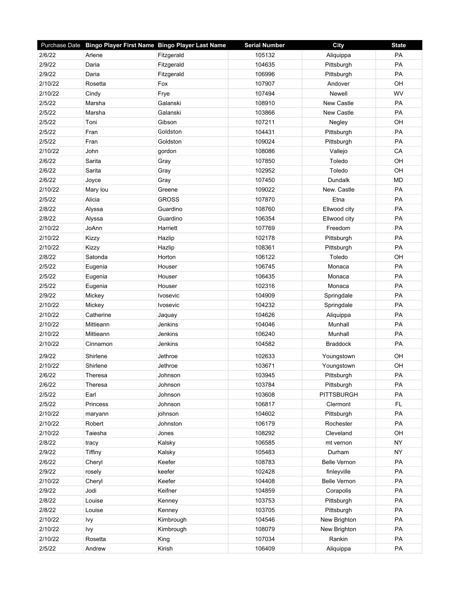|         | Purchase Date Bingo Player First Name Bingo Player Last Name |                 | <b>Serial Number</b> | <b>City</b>         | <b>State</b> |
|---------|--------------------------------------------------------------|-----------------|----------------------|---------------------|--------------|
| 2/6/22  | Arlene                                                       | Fitzgerald      | 105132               | Aliquippa           | PA           |
| 2/9/22  | Daria                                                        | Fitzgerald      | 104635               | Pittsburgh          | PA           |
| 2/9/22  | Daria                                                        | Fitzgerald      | 106996               | Pittsburgh          | PA           |
| 2/10/22 | Rosetta                                                      | Fox             | 107907               | Andover             | OH           |
| 2/10/22 | Cindy                                                        | Frye            | 107494               | Newell              | WV           |
| 2/5/22  | Marsha                                                       | Galanski        | 108910               | <b>New Castle</b>   | PA           |
| 2/5/22  | Marsha                                                       | Galanski        | 103866               | New Castle          | PA           |
| 2/5/22  | Toni                                                         | Gibson          | 107211               | Negley              | OH           |
| 2/5/22  | Fran                                                         | Goldston        | 104431               | Pittsburgh          | PA           |
| 2/5/22  | Fran                                                         | Goldston        | 109024               | Pittsburgh          | PA           |
| 2/10/22 | John                                                         | gordon          | 108086               | Vallejo             | CA           |
| 2/6/22  | Sarita                                                       | Gray            | 107850               | Toledo              | OH           |
| 2/6/22  | Sarita                                                       | Gray            | 102952               | Toledo              | OH           |
| 2/6/22  | Joyce                                                        | Gray            | 107450               | Dundalk             | <b>MD</b>    |
| 2/10/22 | Mary lou                                                     | Greene          | 109022               | New. Castle         | PA           |
| 2/5/22  | Alicia                                                       | <b>GROSS</b>    | 107870               | Etna                | PA           |
| 2/8/22  | Alyssa                                                       | Guardino        | 108760               | Ellwood city        | PA           |
| 2/8/22  | Alyssa                                                       | Guardino        | 106354               | Ellwood city        | PA           |
| 2/10/22 | JoAnn                                                        | Harriett        | 107769               | Freedom             | <b>PA</b>    |
| 2/10/22 | Kizzy                                                        | Hazlip          | 102178               | Pittsburgh          | PA           |
| 2/10/22 | Kizzy                                                        | Hazlip          | 108361               | Pittsburgh          | PA           |
| 2/8/22  | Satonda                                                      | Horton          | 106122               | Toledo              | OH           |
| 2/5/22  | Eugenia                                                      | Houser          | 106745               | Monaca              | PA           |
| 2/5/22  | Eugenia                                                      | Houser          | 106435               | Monaca              | PA           |
| 2/5/22  | Eugenia                                                      | Houser          | 102316               | Monaca              | PA           |
| 2/9/22  | Mickey                                                       | <b>Ivosevic</b> | 104909               | Springdale          | PA           |
| 2/10/22 | Mickey                                                       | Ivosevic        | 104232               | Springdale          | PA           |
| 2/10/22 | Catherine                                                    | Jaquay          | 104626               | Aliquippa           | PA           |
| 2/10/22 | Mittieann                                                    | Jenkins         | 104046               | Munhall             | PA           |
| 2/10/22 | Mittieann                                                    | Jenkins         | 106240               | Munhall             | <b>PA</b>    |
| 2/10/22 | Cinnamon                                                     | Jenkins         | 104582               | <b>Braddock</b>     | PA           |
| 2/9/22  | Shirlene                                                     | Jethroe         | 102633               | Youngstown          | OH           |
| 2/10/22 | Shirlene                                                     | Jethroe         | 103671               | Youngstown          | OH           |
| 2/6/22  | Theresa                                                      | Johnson         | 103945               | Pittsburgh          | PA           |
| 2/6/22  | Theresa                                                      | Johnson         | 103784               | Pittsburgh          | PA           |
| 2/5/22  | Earl                                                         | Johnson         | 103608               | <b>PITTSBURGH</b>   | PA           |
| 2/5/22  | Princess                                                     | Johnson         | 106817               | Clermont            | FL.          |
| 2/10/22 | maryann                                                      | johnson         | 104602               | Pittsburgh          | PA           |
| 2/10/22 | Robert                                                       | Johnston        | 106179               | Rochester           | PA           |
| 2/10/22 | Taiesha                                                      | Jones           | 108292               | Cleveland           | OH           |
| 2/8/22  | tracy                                                        | Kalsky          | 106585               | mt vernon           | <b>NY</b>    |
| 2/9/22  | Tiffiny                                                      | Kalsky          | 105483               | Durham              | <b>NY</b>    |
| 2/6/22  | Cheryl                                                       | Keefer          | 108783               | <b>Belle Vernon</b> | PA           |
| 2/9/22  | rosely                                                       | keefer          | 102428               | finleyville         | PA           |
| 2/10/22 | Cheryl                                                       | Keefer          | 104408               | Belle Vernon        | PA           |
| 2/9/22  | Jodi                                                         | Keifner         | 104859               | Corapolis           | PA           |
| 2/8/22  | Louise                                                       | Kenney          | 103753               | Pittsburgh          | PA           |
| 2/8/22  | Louise                                                       | Kenney          | 103705               | Pittsburgh          | PA           |
| 2/10/22 | Ivy                                                          | Kimbrough       | 104546               | New Brighton        | PA           |
| 2/10/22 | Ivy                                                          | Kimbrough       | 108079               | New Brighton        | PA           |
| 2/10/22 | Rosetta                                                      | King            | 107034               | Rankin              | PA           |
| 2/5/22  | Andrew                                                       | Kirish          | 106409               | Aliquippa           | PA           |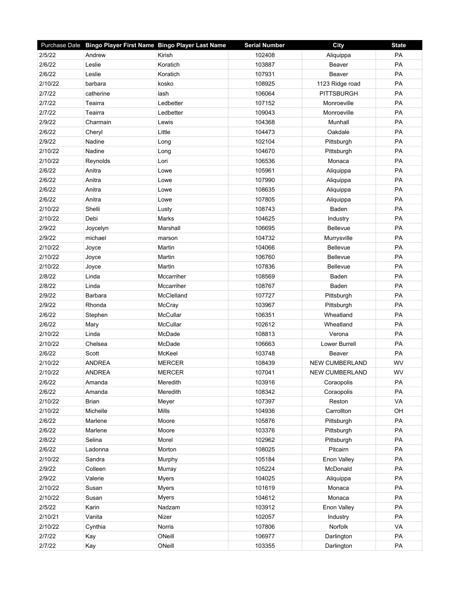| PA<br>2/5/22<br>102408<br>Andrew<br>Kirish<br>Aliquippa<br>PA<br>2/6/22<br>Leslie<br>Koratich<br>103887<br>Beaver<br>2/6/22<br>Leslie<br>107931<br>Beaver<br>PA<br>Koratich<br>PA<br>2/10/22<br>108925<br>1123 Ridge road<br>barbara<br>kosko<br>PA<br>2/7/22<br>106064<br><b>PITTSBURGH</b><br>catherine<br>lash<br>2/7/22<br>107152<br>PA<br>Teairra<br>Ledbetter<br>Monroeville<br>PA<br>2/7/22<br>109043<br>Teairra<br>Ledbetter<br>Monroeville<br>104368<br>PA<br>2/9/22<br>Charmain<br>Munhall<br>Lewis<br>PA<br>2/6/22<br>104473<br>Little<br>Oakdale<br>Cheryl<br>2/9/22<br>102104<br>PA<br>Nadine<br>Pittsburgh<br>Long<br>PA<br>2/10/22<br>104670<br>Nadine<br>Pittsburgh<br>Long<br>PA<br>2/10/22<br>106536<br>Reynolds<br>Lori<br>Monaca<br>PA<br>2/6/22<br>Anitra<br>105961<br>Lowe<br>Aliquippa<br>2/6/22<br>Anitra<br>107990<br>PA<br>Lowe<br>Aliquippa<br>PA<br>2/6/22<br>Anitra<br>108635<br>Lowe<br>Aliquippa<br>PA<br>2/6/22<br>Anitra<br>107805<br>Lowe<br>Aliquippa<br>2/10/22<br>PA<br>Shelli<br>108743<br>Baden<br>Lusty<br>PA<br>2/10/22<br>104625<br>Debi<br>Marks<br>Industry<br>PA<br>2/9/22<br>Bellevue<br>Joycelyn<br>Marshall<br>106695<br>PA<br>2/9/22<br>104732<br>michael<br>Murrysville<br>marson<br>2/10/22<br>104066<br>PA<br>Martin<br><b>Bellevue</b><br>Joyce<br>PA<br>2/10/22<br>106760<br>Bellevue<br>Martin<br>Joyce<br>2/10/22<br>107836<br>Bellevue<br>PA<br>Martin<br>Joyce<br>2/8/22<br>PA<br>Linda<br>Mccarriher<br>108569<br>Baden<br>2/8/22<br>108767<br>Baden<br>PA<br>Linda<br>Mccarriher<br>PA<br>2/9/22<br>107727<br>Barbara<br>McClelland<br>Pittsburgh<br>2/9/22<br>103967<br>PA<br>Rhonda<br>McCray<br>Pittsburgh<br>PA<br>2/6/22<br>McCullar<br>106351<br>Wheatland<br>Stephen<br>PA<br>2/6/22<br>McCullar<br>102612<br>Wheatland<br>Mary<br>PA<br>2/10/22<br>108813<br>Linda<br>McDade<br>Verona<br>PA<br>2/10/22<br>106663<br>Lower Burrell<br>Chelsea<br>McDade<br>2/6/22<br>PA<br>Scott<br>McKeel<br>103748<br>Beaver<br>2/10/22<br><b>ANDREA</b><br><b>MERCER</b><br>108439<br><b>NEW CUMBERLAND</b><br>WV<br>2/10/22<br>WV<br><b>ANDREA</b><br><b>MERCER</b><br>107041<br><b>NEW CUMBERLAND</b><br>103916<br>Coraopolis<br>PA<br>2/6/22<br>Meredith<br>Amanda<br>PA<br>2/6/22<br>Meredith<br>108342<br>Amanda<br>Coraopolis<br>VA<br>2/10/22<br>107397<br>Reston<br><b>Brian</b><br>Meyer<br>2/10/22<br>Michelle<br>Mills<br>104936<br>Carrollton<br>OH<br>2/6/22<br>105876<br>PA<br>Marlene<br>Moore<br>Pittsburgh<br>2/6/22<br>103376<br>PA<br>Marlene<br>Moore<br>Pittsburgh<br>PA<br>2/8/22<br>102962<br>Selina<br>Morel<br>Pittsburgh<br>PA<br>2/6/22<br>108025<br>Pitcairn<br>Ladonna<br>Morton<br>2/10/22<br>105184<br>Enon Valley<br>PA<br>Sandra<br>Murphy<br>PA<br>2/9/22<br>105224<br>McDonald<br>Colleen<br>Murray<br>104025<br>PA<br>2/9/22<br>Valerie<br>Aliquippa<br><b>Myers</b><br>PA<br>2/10/22<br>101619<br>Monaca<br>Susan<br><b>Myers</b> |         | Purchase Date Bingo Player First Name Bingo Player Last Name |       | <b>Serial Number</b> | City   | <b>State</b> |
|-------------------------------------------------------------------------------------------------------------------------------------------------------------------------------------------------------------------------------------------------------------------------------------------------------------------------------------------------------------------------------------------------------------------------------------------------------------------------------------------------------------------------------------------------------------------------------------------------------------------------------------------------------------------------------------------------------------------------------------------------------------------------------------------------------------------------------------------------------------------------------------------------------------------------------------------------------------------------------------------------------------------------------------------------------------------------------------------------------------------------------------------------------------------------------------------------------------------------------------------------------------------------------------------------------------------------------------------------------------------------------------------------------------------------------------------------------------------------------------------------------------------------------------------------------------------------------------------------------------------------------------------------------------------------------------------------------------------------------------------------------------------------------------------------------------------------------------------------------------------------------------------------------------------------------------------------------------------------------------------------------------------------------------------------------------------------------------------------------------------------------------------------------------------------------------------------------------------------------------------------------------------------------------------------------------------------------------------------------------------------------------------------------------------------------------------------------------------------------------------------------------------------------------------------------------------------------------------------------------------------------------------------------------------------------------------------------------------------------------------------------------------------------------------------------------------------------------------------------------------------------------------------------------------------------|---------|--------------------------------------------------------------|-------|----------------------|--------|--------------|
|                                                                                                                                                                                                                                                                                                                                                                                                                                                                                                                                                                                                                                                                                                                                                                                                                                                                                                                                                                                                                                                                                                                                                                                                                                                                                                                                                                                                                                                                                                                                                                                                                                                                                                                                                                                                                                                                                                                                                                                                                                                                                                                                                                                                                                                                                                                                                                                                                                                                                                                                                                                                                                                                                                                                                                                                                                                                                                                               |         |                                                              |       |                      |        |              |
|                                                                                                                                                                                                                                                                                                                                                                                                                                                                                                                                                                                                                                                                                                                                                                                                                                                                                                                                                                                                                                                                                                                                                                                                                                                                                                                                                                                                                                                                                                                                                                                                                                                                                                                                                                                                                                                                                                                                                                                                                                                                                                                                                                                                                                                                                                                                                                                                                                                                                                                                                                                                                                                                                                                                                                                                                                                                                                                               |         |                                                              |       |                      |        |              |
|                                                                                                                                                                                                                                                                                                                                                                                                                                                                                                                                                                                                                                                                                                                                                                                                                                                                                                                                                                                                                                                                                                                                                                                                                                                                                                                                                                                                                                                                                                                                                                                                                                                                                                                                                                                                                                                                                                                                                                                                                                                                                                                                                                                                                                                                                                                                                                                                                                                                                                                                                                                                                                                                                                                                                                                                                                                                                                                               |         |                                                              |       |                      |        |              |
|                                                                                                                                                                                                                                                                                                                                                                                                                                                                                                                                                                                                                                                                                                                                                                                                                                                                                                                                                                                                                                                                                                                                                                                                                                                                                                                                                                                                                                                                                                                                                                                                                                                                                                                                                                                                                                                                                                                                                                                                                                                                                                                                                                                                                                                                                                                                                                                                                                                                                                                                                                                                                                                                                                                                                                                                                                                                                                                               |         |                                                              |       |                      |        |              |
|                                                                                                                                                                                                                                                                                                                                                                                                                                                                                                                                                                                                                                                                                                                                                                                                                                                                                                                                                                                                                                                                                                                                                                                                                                                                                                                                                                                                                                                                                                                                                                                                                                                                                                                                                                                                                                                                                                                                                                                                                                                                                                                                                                                                                                                                                                                                                                                                                                                                                                                                                                                                                                                                                                                                                                                                                                                                                                                               |         |                                                              |       |                      |        |              |
|                                                                                                                                                                                                                                                                                                                                                                                                                                                                                                                                                                                                                                                                                                                                                                                                                                                                                                                                                                                                                                                                                                                                                                                                                                                                                                                                                                                                                                                                                                                                                                                                                                                                                                                                                                                                                                                                                                                                                                                                                                                                                                                                                                                                                                                                                                                                                                                                                                                                                                                                                                                                                                                                                                                                                                                                                                                                                                                               |         |                                                              |       |                      |        |              |
|                                                                                                                                                                                                                                                                                                                                                                                                                                                                                                                                                                                                                                                                                                                                                                                                                                                                                                                                                                                                                                                                                                                                                                                                                                                                                                                                                                                                                                                                                                                                                                                                                                                                                                                                                                                                                                                                                                                                                                                                                                                                                                                                                                                                                                                                                                                                                                                                                                                                                                                                                                                                                                                                                                                                                                                                                                                                                                                               |         |                                                              |       |                      |        |              |
|                                                                                                                                                                                                                                                                                                                                                                                                                                                                                                                                                                                                                                                                                                                                                                                                                                                                                                                                                                                                                                                                                                                                                                                                                                                                                                                                                                                                                                                                                                                                                                                                                                                                                                                                                                                                                                                                                                                                                                                                                                                                                                                                                                                                                                                                                                                                                                                                                                                                                                                                                                                                                                                                                                                                                                                                                                                                                                                               |         |                                                              |       |                      |        |              |
|                                                                                                                                                                                                                                                                                                                                                                                                                                                                                                                                                                                                                                                                                                                                                                                                                                                                                                                                                                                                                                                                                                                                                                                                                                                                                                                                                                                                                                                                                                                                                                                                                                                                                                                                                                                                                                                                                                                                                                                                                                                                                                                                                                                                                                                                                                                                                                                                                                                                                                                                                                                                                                                                                                                                                                                                                                                                                                                               |         |                                                              |       |                      |        |              |
|                                                                                                                                                                                                                                                                                                                                                                                                                                                                                                                                                                                                                                                                                                                                                                                                                                                                                                                                                                                                                                                                                                                                                                                                                                                                                                                                                                                                                                                                                                                                                                                                                                                                                                                                                                                                                                                                                                                                                                                                                                                                                                                                                                                                                                                                                                                                                                                                                                                                                                                                                                                                                                                                                                                                                                                                                                                                                                                               |         |                                                              |       |                      |        |              |
|                                                                                                                                                                                                                                                                                                                                                                                                                                                                                                                                                                                                                                                                                                                                                                                                                                                                                                                                                                                                                                                                                                                                                                                                                                                                                                                                                                                                                                                                                                                                                                                                                                                                                                                                                                                                                                                                                                                                                                                                                                                                                                                                                                                                                                                                                                                                                                                                                                                                                                                                                                                                                                                                                                                                                                                                                                                                                                                               |         |                                                              |       |                      |        |              |
|                                                                                                                                                                                                                                                                                                                                                                                                                                                                                                                                                                                                                                                                                                                                                                                                                                                                                                                                                                                                                                                                                                                                                                                                                                                                                                                                                                                                                                                                                                                                                                                                                                                                                                                                                                                                                                                                                                                                                                                                                                                                                                                                                                                                                                                                                                                                                                                                                                                                                                                                                                                                                                                                                                                                                                                                                                                                                                                               |         |                                                              |       |                      |        |              |
|                                                                                                                                                                                                                                                                                                                                                                                                                                                                                                                                                                                                                                                                                                                                                                                                                                                                                                                                                                                                                                                                                                                                                                                                                                                                                                                                                                                                                                                                                                                                                                                                                                                                                                                                                                                                                                                                                                                                                                                                                                                                                                                                                                                                                                                                                                                                                                                                                                                                                                                                                                                                                                                                                                                                                                                                                                                                                                                               |         |                                                              |       |                      |        |              |
|                                                                                                                                                                                                                                                                                                                                                                                                                                                                                                                                                                                                                                                                                                                                                                                                                                                                                                                                                                                                                                                                                                                                                                                                                                                                                                                                                                                                                                                                                                                                                                                                                                                                                                                                                                                                                                                                                                                                                                                                                                                                                                                                                                                                                                                                                                                                                                                                                                                                                                                                                                                                                                                                                                                                                                                                                                                                                                                               |         |                                                              |       |                      |        |              |
|                                                                                                                                                                                                                                                                                                                                                                                                                                                                                                                                                                                                                                                                                                                                                                                                                                                                                                                                                                                                                                                                                                                                                                                                                                                                                                                                                                                                                                                                                                                                                                                                                                                                                                                                                                                                                                                                                                                                                                                                                                                                                                                                                                                                                                                                                                                                                                                                                                                                                                                                                                                                                                                                                                                                                                                                                                                                                                                               |         |                                                              |       |                      |        |              |
|                                                                                                                                                                                                                                                                                                                                                                                                                                                                                                                                                                                                                                                                                                                                                                                                                                                                                                                                                                                                                                                                                                                                                                                                                                                                                                                                                                                                                                                                                                                                                                                                                                                                                                                                                                                                                                                                                                                                                                                                                                                                                                                                                                                                                                                                                                                                                                                                                                                                                                                                                                                                                                                                                                                                                                                                                                                                                                                               |         |                                                              |       |                      |        |              |
|                                                                                                                                                                                                                                                                                                                                                                                                                                                                                                                                                                                                                                                                                                                                                                                                                                                                                                                                                                                                                                                                                                                                                                                                                                                                                                                                                                                                                                                                                                                                                                                                                                                                                                                                                                                                                                                                                                                                                                                                                                                                                                                                                                                                                                                                                                                                                                                                                                                                                                                                                                                                                                                                                                                                                                                                                                                                                                                               |         |                                                              |       |                      |        |              |
|                                                                                                                                                                                                                                                                                                                                                                                                                                                                                                                                                                                                                                                                                                                                                                                                                                                                                                                                                                                                                                                                                                                                                                                                                                                                                                                                                                                                                                                                                                                                                                                                                                                                                                                                                                                                                                                                                                                                                                                                                                                                                                                                                                                                                                                                                                                                                                                                                                                                                                                                                                                                                                                                                                                                                                                                                                                                                                                               |         |                                                              |       |                      |        |              |
|                                                                                                                                                                                                                                                                                                                                                                                                                                                                                                                                                                                                                                                                                                                                                                                                                                                                                                                                                                                                                                                                                                                                                                                                                                                                                                                                                                                                                                                                                                                                                                                                                                                                                                                                                                                                                                                                                                                                                                                                                                                                                                                                                                                                                                                                                                                                                                                                                                                                                                                                                                                                                                                                                                                                                                                                                                                                                                                               |         |                                                              |       |                      |        |              |
|                                                                                                                                                                                                                                                                                                                                                                                                                                                                                                                                                                                                                                                                                                                                                                                                                                                                                                                                                                                                                                                                                                                                                                                                                                                                                                                                                                                                                                                                                                                                                                                                                                                                                                                                                                                                                                                                                                                                                                                                                                                                                                                                                                                                                                                                                                                                                                                                                                                                                                                                                                                                                                                                                                                                                                                                                                                                                                                               |         |                                                              |       |                      |        |              |
|                                                                                                                                                                                                                                                                                                                                                                                                                                                                                                                                                                                                                                                                                                                                                                                                                                                                                                                                                                                                                                                                                                                                                                                                                                                                                                                                                                                                                                                                                                                                                                                                                                                                                                                                                                                                                                                                                                                                                                                                                                                                                                                                                                                                                                                                                                                                                                                                                                                                                                                                                                                                                                                                                                                                                                                                                                                                                                                               |         |                                                              |       |                      |        |              |
|                                                                                                                                                                                                                                                                                                                                                                                                                                                                                                                                                                                                                                                                                                                                                                                                                                                                                                                                                                                                                                                                                                                                                                                                                                                                                                                                                                                                                                                                                                                                                                                                                                                                                                                                                                                                                                                                                                                                                                                                                                                                                                                                                                                                                                                                                                                                                                                                                                                                                                                                                                                                                                                                                                                                                                                                                                                                                                                               |         |                                                              |       |                      |        |              |
|                                                                                                                                                                                                                                                                                                                                                                                                                                                                                                                                                                                                                                                                                                                                                                                                                                                                                                                                                                                                                                                                                                                                                                                                                                                                                                                                                                                                                                                                                                                                                                                                                                                                                                                                                                                                                                                                                                                                                                                                                                                                                                                                                                                                                                                                                                                                                                                                                                                                                                                                                                                                                                                                                                                                                                                                                                                                                                                               |         |                                                              |       |                      |        |              |
|                                                                                                                                                                                                                                                                                                                                                                                                                                                                                                                                                                                                                                                                                                                                                                                                                                                                                                                                                                                                                                                                                                                                                                                                                                                                                                                                                                                                                                                                                                                                                                                                                                                                                                                                                                                                                                                                                                                                                                                                                                                                                                                                                                                                                                                                                                                                                                                                                                                                                                                                                                                                                                                                                                                                                                                                                                                                                                                               |         |                                                              |       |                      |        |              |
|                                                                                                                                                                                                                                                                                                                                                                                                                                                                                                                                                                                                                                                                                                                                                                                                                                                                                                                                                                                                                                                                                                                                                                                                                                                                                                                                                                                                                                                                                                                                                                                                                                                                                                                                                                                                                                                                                                                                                                                                                                                                                                                                                                                                                                                                                                                                                                                                                                                                                                                                                                                                                                                                                                                                                                                                                                                                                                                               |         |                                                              |       |                      |        |              |
|                                                                                                                                                                                                                                                                                                                                                                                                                                                                                                                                                                                                                                                                                                                                                                                                                                                                                                                                                                                                                                                                                                                                                                                                                                                                                                                                                                                                                                                                                                                                                                                                                                                                                                                                                                                                                                                                                                                                                                                                                                                                                                                                                                                                                                                                                                                                                                                                                                                                                                                                                                                                                                                                                                                                                                                                                                                                                                                               |         |                                                              |       |                      |        |              |
|                                                                                                                                                                                                                                                                                                                                                                                                                                                                                                                                                                                                                                                                                                                                                                                                                                                                                                                                                                                                                                                                                                                                                                                                                                                                                                                                                                                                                                                                                                                                                                                                                                                                                                                                                                                                                                                                                                                                                                                                                                                                                                                                                                                                                                                                                                                                                                                                                                                                                                                                                                                                                                                                                                                                                                                                                                                                                                                               |         |                                                              |       |                      |        |              |
|                                                                                                                                                                                                                                                                                                                                                                                                                                                                                                                                                                                                                                                                                                                                                                                                                                                                                                                                                                                                                                                                                                                                                                                                                                                                                                                                                                                                                                                                                                                                                                                                                                                                                                                                                                                                                                                                                                                                                                                                                                                                                                                                                                                                                                                                                                                                                                                                                                                                                                                                                                                                                                                                                                                                                                                                                                                                                                                               |         |                                                              |       |                      |        |              |
|                                                                                                                                                                                                                                                                                                                                                                                                                                                                                                                                                                                                                                                                                                                                                                                                                                                                                                                                                                                                                                                                                                                                                                                                                                                                                                                                                                                                                                                                                                                                                                                                                                                                                                                                                                                                                                                                                                                                                                                                                                                                                                                                                                                                                                                                                                                                                                                                                                                                                                                                                                                                                                                                                                                                                                                                                                                                                                                               |         |                                                              |       |                      |        |              |
|                                                                                                                                                                                                                                                                                                                                                                                                                                                                                                                                                                                                                                                                                                                                                                                                                                                                                                                                                                                                                                                                                                                                                                                                                                                                                                                                                                                                                                                                                                                                                                                                                                                                                                                                                                                                                                                                                                                                                                                                                                                                                                                                                                                                                                                                                                                                                                                                                                                                                                                                                                                                                                                                                                                                                                                                                                                                                                                               |         |                                                              |       |                      |        |              |
|                                                                                                                                                                                                                                                                                                                                                                                                                                                                                                                                                                                                                                                                                                                                                                                                                                                                                                                                                                                                                                                                                                                                                                                                                                                                                                                                                                                                                                                                                                                                                                                                                                                                                                                                                                                                                                                                                                                                                                                                                                                                                                                                                                                                                                                                                                                                                                                                                                                                                                                                                                                                                                                                                                                                                                                                                                                                                                                               |         |                                                              |       |                      |        |              |
|                                                                                                                                                                                                                                                                                                                                                                                                                                                                                                                                                                                                                                                                                                                                                                                                                                                                                                                                                                                                                                                                                                                                                                                                                                                                                                                                                                                                                                                                                                                                                                                                                                                                                                                                                                                                                                                                                                                                                                                                                                                                                                                                                                                                                                                                                                                                                                                                                                                                                                                                                                                                                                                                                                                                                                                                                                                                                                                               |         |                                                              |       |                      |        |              |
|                                                                                                                                                                                                                                                                                                                                                                                                                                                                                                                                                                                                                                                                                                                                                                                                                                                                                                                                                                                                                                                                                                                                                                                                                                                                                                                                                                                                                                                                                                                                                                                                                                                                                                                                                                                                                                                                                                                                                                                                                                                                                                                                                                                                                                                                                                                                                                                                                                                                                                                                                                                                                                                                                                                                                                                                                                                                                                                               |         |                                                              |       |                      |        |              |
|                                                                                                                                                                                                                                                                                                                                                                                                                                                                                                                                                                                                                                                                                                                                                                                                                                                                                                                                                                                                                                                                                                                                                                                                                                                                                                                                                                                                                                                                                                                                                                                                                                                                                                                                                                                                                                                                                                                                                                                                                                                                                                                                                                                                                                                                                                                                                                                                                                                                                                                                                                                                                                                                                                                                                                                                                                                                                                                               |         |                                                              |       |                      |        |              |
|                                                                                                                                                                                                                                                                                                                                                                                                                                                                                                                                                                                                                                                                                                                                                                                                                                                                                                                                                                                                                                                                                                                                                                                                                                                                                                                                                                                                                                                                                                                                                                                                                                                                                                                                                                                                                                                                                                                                                                                                                                                                                                                                                                                                                                                                                                                                                                                                                                                                                                                                                                                                                                                                                                                                                                                                                                                                                                                               |         |                                                              |       |                      |        |              |
|                                                                                                                                                                                                                                                                                                                                                                                                                                                                                                                                                                                                                                                                                                                                                                                                                                                                                                                                                                                                                                                                                                                                                                                                                                                                                                                                                                                                                                                                                                                                                                                                                                                                                                                                                                                                                                                                                                                                                                                                                                                                                                                                                                                                                                                                                                                                                                                                                                                                                                                                                                                                                                                                                                                                                                                                                                                                                                                               |         |                                                              |       |                      |        |              |
|                                                                                                                                                                                                                                                                                                                                                                                                                                                                                                                                                                                                                                                                                                                                                                                                                                                                                                                                                                                                                                                                                                                                                                                                                                                                                                                                                                                                                                                                                                                                                                                                                                                                                                                                                                                                                                                                                                                                                                                                                                                                                                                                                                                                                                                                                                                                                                                                                                                                                                                                                                                                                                                                                                                                                                                                                                                                                                                               |         |                                                              |       |                      |        |              |
|                                                                                                                                                                                                                                                                                                                                                                                                                                                                                                                                                                                                                                                                                                                                                                                                                                                                                                                                                                                                                                                                                                                                                                                                                                                                                                                                                                                                                                                                                                                                                                                                                                                                                                                                                                                                                                                                                                                                                                                                                                                                                                                                                                                                                                                                                                                                                                                                                                                                                                                                                                                                                                                                                                                                                                                                                                                                                                                               |         |                                                              |       |                      |        |              |
|                                                                                                                                                                                                                                                                                                                                                                                                                                                                                                                                                                                                                                                                                                                                                                                                                                                                                                                                                                                                                                                                                                                                                                                                                                                                                                                                                                                                                                                                                                                                                                                                                                                                                                                                                                                                                                                                                                                                                                                                                                                                                                                                                                                                                                                                                                                                                                                                                                                                                                                                                                                                                                                                                                                                                                                                                                                                                                                               |         |                                                              |       |                      |        |              |
|                                                                                                                                                                                                                                                                                                                                                                                                                                                                                                                                                                                                                                                                                                                                                                                                                                                                                                                                                                                                                                                                                                                                                                                                                                                                                                                                                                                                                                                                                                                                                                                                                                                                                                                                                                                                                                                                                                                                                                                                                                                                                                                                                                                                                                                                                                                                                                                                                                                                                                                                                                                                                                                                                                                                                                                                                                                                                                                               |         |                                                              |       |                      |        |              |
|                                                                                                                                                                                                                                                                                                                                                                                                                                                                                                                                                                                                                                                                                                                                                                                                                                                                                                                                                                                                                                                                                                                                                                                                                                                                                                                                                                                                                                                                                                                                                                                                                                                                                                                                                                                                                                                                                                                                                                                                                                                                                                                                                                                                                                                                                                                                                                                                                                                                                                                                                                                                                                                                                                                                                                                                                                                                                                                               |         |                                                              |       |                      |        |              |
|                                                                                                                                                                                                                                                                                                                                                                                                                                                                                                                                                                                                                                                                                                                                                                                                                                                                                                                                                                                                                                                                                                                                                                                                                                                                                                                                                                                                                                                                                                                                                                                                                                                                                                                                                                                                                                                                                                                                                                                                                                                                                                                                                                                                                                                                                                                                                                                                                                                                                                                                                                                                                                                                                                                                                                                                                                                                                                                               |         |                                                              |       |                      |        |              |
|                                                                                                                                                                                                                                                                                                                                                                                                                                                                                                                                                                                                                                                                                                                                                                                                                                                                                                                                                                                                                                                                                                                                                                                                                                                                                                                                                                                                                                                                                                                                                                                                                                                                                                                                                                                                                                                                                                                                                                                                                                                                                                                                                                                                                                                                                                                                                                                                                                                                                                                                                                                                                                                                                                                                                                                                                                                                                                                               |         |                                                              |       |                      |        |              |
|                                                                                                                                                                                                                                                                                                                                                                                                                                                                                                                                                                                                                                                                                                                                                                                                                                                                                                                                                                                                                                                                                                                                                                                                                                                                                                                                                                                                                                                                                                                                                                                                                                                                                                                                                                                                                                                                                                                                                                                                                                                                                                                                                                                                                                                                                                                                                                                                                                                                                                                                                                                                                                                                                                                                                                                                                                                                                                                               |         |                                                              |       |                      |        |              |
|                                                                                                                                                                                                                                                                                                                                                                                                                                                                                                                                                                                                                                                                                                                                                                                                                                                                                                                                                                                                                                                                                                                                                                                                                                                                                                                                                                                                                                                                                                                                                                                                                                                                                                                                                                                                                                                                                                                                                                                                                                                                                                                                                                                                                                                                                                                                                                                                                                                                                                                                                                                                                                                                                                                                                                                                                                                                                                                               |         |                                                              |       |                      |        |              |
|                                                                                                                                                                                                                                                                                                                                                                                                                                                                                                                                                                                                                                                                                                                                                                                                                                                                                                                                                                                                                                                                                                                                                                                                                                                                                                                                                                                                                                                                                                                                                                                                                                                                                                                                                                                                                                                                                                                                                                                                                                                                                                                                                                                                                                                                                                                                                                                                                                                                                                                                                                                                                                                                                                                                                                                                                                                                                                                               |         |                                                              |       |                      |        |              |
| Susan                                                                                                                                                                                                                                                                                                                                                                                                                                                                                                                                                                                                                                                                                                                                                                                                                                                                                                                                                                                                                                                                                                                                                                                                                                                                                                                                                                                                                                                                                                                                                                                                                                                                                                                                                                                                                                                                                                                                                                                                                                                                                                                                                                                                                                                                                                                                                                                                                                                                                                                                                                                                                                                                                                                                                                                                                                                                                                                         | 2/10/22 |                                                              | Myers | 104612               | Monaca | PA           |
| PA<br>2/5/22<br>103912<br>Karin<br>Nadzam<br>Enon Valley                                                                                                                                                                                                                                                                                                                                                                                                                                                                                                                                                                                                                                                                                                                                                                                                                                                                                                                                                                                                                                                                                                                                                                                                                                                                                                                                                                                                                                                                                                                                                                                                                                                                                                                                                                                                                                                                                                                                                                                                                                                                                                                                                                                                                                                                                                                                                                                                                                                                                                                                                                                                                                                                                                                                                                                                                                                                      |         |                                                              |       |                      |        |              |
| 2/10/21<br>102057<br>PA<br>Vanita<br>Nizer<br>Industry                                                                                                                                                                                                                                                                                                                                                                                                                                                                                                                                                                                                                                                                                                                                                                                                                                                                                                                                                                                                                                                                                                                                                                                                                                                                                                                                                                                                                                                                                                                                                                                                                                                                                                                                                                                                                                                                                                                                                                                                                                                                                                                                                                                                                                                                                                                                                                                                                                                                                                                                                                                                                                                                                                                                                                                                                                                                        |         |                                                              |       |                      |        |              |
| 2/10/22<br>107806<br>Norfolk<br>VA<br>Norris<br>Cynthia                                                                                                                                                                                                                                                                                                                                                                                                                                                                                                                                                                                                                                                                                                                                                                                                                                                                                                                                                                                                                                                                                                                                                                                                                                                                                                                                                                                                                                                                                                                                                                                                                                                                                                                                                                                                                                                                                                                                                                                                                                                                                                                                                                                                                                                                                                                                                                                                                                                                                                                                                                                                                                                                                                                                                                                                                                                                       |         |                                                              |       |                      |        |              |
| 2/7/22<br>ONeill<br>106977<br>PA<br>Darlington<br>Kay                                                                                                                                                                                                                                                                                                                                                                                                                                                                                                                                                                                                                                                                                                                                                                                                                                                                                                                                                                                                                                                                                                                                                                                                                                                                                                                                                                                                                                                                                                                                                                                                                                                                                                                                                                                                                                                                                                                                                                                                                                                                                                                                                                                                                                                                                                                                                                                                                                                                                                                                                                                                                                                                                                                                                                                                                                                                         |         |                                                              |       |                      |        |              |
| PA<br>2/7/22<br>ONeill<br>103355<br>Kay<br>Darlington                                                                                                                                                                                                                                                                                                                                                                                                                                                                                                                                                                                                                                                                                                                                                                                                                                                                                                                                                                                                                                                                                                                                                                                                                                                                                                                                                                                                                                                                                                                                                                                                                                                                                                                                                                                                                                                                                                                                                                                                                                                                                                                                                                                                                                                                                                                                                                                                                                                                                                                                                                                                                                                                                                                                                                                                                                                                         |         |                                                              |       |                      |        |              |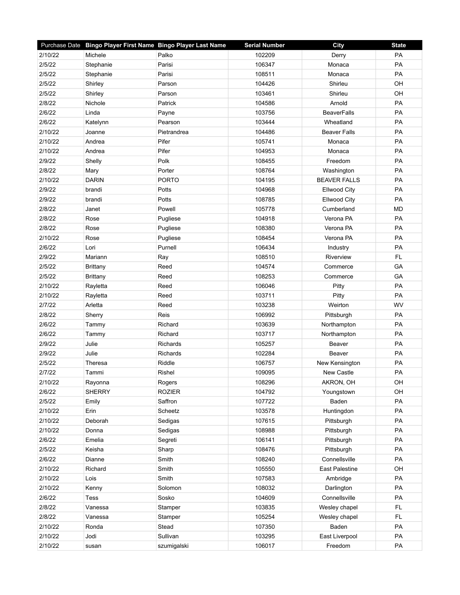|         | Purchase Date Bingo Player First Name Bingo Player Last Name |               | <b>Serial Number</b> | <b>City</b>         | <b>State</b> |
|---------|--------------------------------------------------------------|---------------|----------------------|---------------------|--------------|
| 2/10/22 | Michele                                                      | Palko         | 102209               | Derry               | PA           |
| 2/5/22  | Stephanie                                                    | Parisi        | 106347               | Monaca              | PA           |
| 2/5/22  | Stephanie                                                    | Parisi        | 108511               | Monaca              | PA           |
| 2/5/22  | Shirley                                                      | Parson        | 104426               | Shirleu             | OH           |
| 2/5/22  | Shirley                                                      | Parson        | 103461               | Shirleu             | OH           |
| 2/8/22  | Nichole                                                      | Patrick       | 104586               | Arnold              | PA           |
| 2/6/22  | Linda                                                        | Payne         | 103756               | BeaverFalls         | PA           |
| 2/6/22  | Katelynn                                                     | Pearson       | 103444               | Wheatland           | PA           |
| 2/10/22 | Joanne                                                       | Pietrandrea   | 104486               | <b>Beaver Falls</b> | PA           |
| 2/10/22 | Andrea                                                       | Pifer         | 105741               | Monaca              | PA           |
| 2/10/22 | Andrea                                                       | Pifer         | 104953               | Monaca              | PA           |
| 2/9/22  | Shelly                                                       | Polk          | 108455               | Freedom             | PA           |
| 2/8/22  | Mary                                                         | Porter        | 108764               | Washington          | PA           |
| 2/10/22 | <b>DARIN</b>                                                 | <b>PORTO</b>  | 104195               | <b>BEAVER FALLS</b> | PA           |
| 2/9/22  | brandi                                                       | Potts         | 104968               | <b>Ellwood City</b> | PA           |
| 2/9/22  | brandi                                                       | Potts         | 108785               | <b>Ellwood City</b> | PA           |
| 2/8/22  | Janet                                                        | Powell        | 105778               | Cumberland          | <b>MD</b>    |
| 2/8/22  | Rose                                                         | Pugliese      | 104918               | Verona PA           | PA           |
| 2/8/22  | Rose                                                         | Pugliese      | 108380               | Verona PA           | <b>PA</b>    |
| 2/10/22 | Rose                                                         | Pugliese      | 108454               | Verona PA           | PA           |
| 2/6/22  | Lori                                                         | Purnell       | 106434               | Industry            | PA           |
| 2/9/22  | Mariann                                                      | Ray           | 108510               | Riverview           | FL           |
| 2/5/22  | <b>Brittany</b>                                              | Reed          | 104574               | Commerce            | GA           |
| 2/5/22  | <b>Brittany</b>                                              | Reed          | 108253               | Commerce            | GA           |
| 2/10/22 | Rayletta                                                     | Reed          | 106046               | Pitty               | PA           |
| 2/10/22 | Rayletta                                                     | Reed          | 103711               | Pitty               | PA           |
| 2/7/22  | Arletta                                                      | Reed          | 103238               | Weirton             | WV           |
| 2/8/22  | Sherry                                                       | Reis          | 106992               | Pittsburgh          | PA           |
| 2/6/22  | Tammy                                                        | Richard       | 103639               | Northampton         | PA           |
| 2/6/22  | Tammy                                                        | Richard       | 103717               | Northampton         | <b>PA</b>    |
| 2/9/22  | Julie                                                        | Richards      | 105257               | Beaver              | PA           |
| 2/9/22  | Julie                                                        | Richards      | 102284               | Beaver              | PA           |
| 2/5/22  | Theresa                                                      | Riddle        | 106757               | New Kensington      | PA           |
| 2/7/22  | Tammi                                                        | Rishel        | 109095               | <b>New Castle</b>   | PA           |
| 2/10/22 | Rayonna                                                      | Rogers        | 108296               | AKRON, OH           | OH           |
| 2/6/22  | <b>SHERRY</b>                                                | <b>ROZIER</b> | 104792               | Youngstown          | OH           |
| 2/5/22  | Emily                                                        | Saffron       | 107722               | Baden               | PA           |
| 2/10/22 | Erin                                                         | Scheetz       | 103578               | Huntingdon          | PA           |
| 2/10/22 | Deborah                                                      | Sedigas       | 107615               | Pittsburgh          | PA           |
| 2/10/22 | Donna                                                        | Sedigas       | 108988               | Pittsburgh          | PA           |
| 2/6/22  | Emelia                                                       | Segreti       | 106141               | Pittsburgh          | PA           |
| 2/5/22  | Keisha                                                       | Sharp         | 108476               | Pittsburgh          | PA           |
| 2/6/22  | Dianne                                                       | Smith         | 108240               | Connellsville       | PA           |
| 2/10/22 | Richard                                                      | Smith         | 105550               | East Palestine      | OH           |
| 2/10/22 | Lois                                                         | Smith         | 107583               | Ambridge            | PA           |
| 2/10/22 | Kenny                                                        | Solomon       | 108032               | Darlington          | PA           |
| 2/6/22  | Tess                                                         | Sosko         | 104609               | Connellsville       | PA           |
| 2/8/22  | Vanessa                                                      | Stamper       | 103835               | Wesley chapel       | <b>FL</b>    |
| 2/8/22  | Vanessa                                                      | Stamper       | 105254               | Wesley chapel       | FL.          |
| 2/10/22 | Ronda                                                        | Stead         | 107350               | Baden               | PA           |
| 2/10/22 | Jodi                                                         | Sullivan      | 103295               | East Liverpool      | PA           |
| 2/10/22 | susan                                                        | szumigalski   | 106017               | Freedom             | PA           |